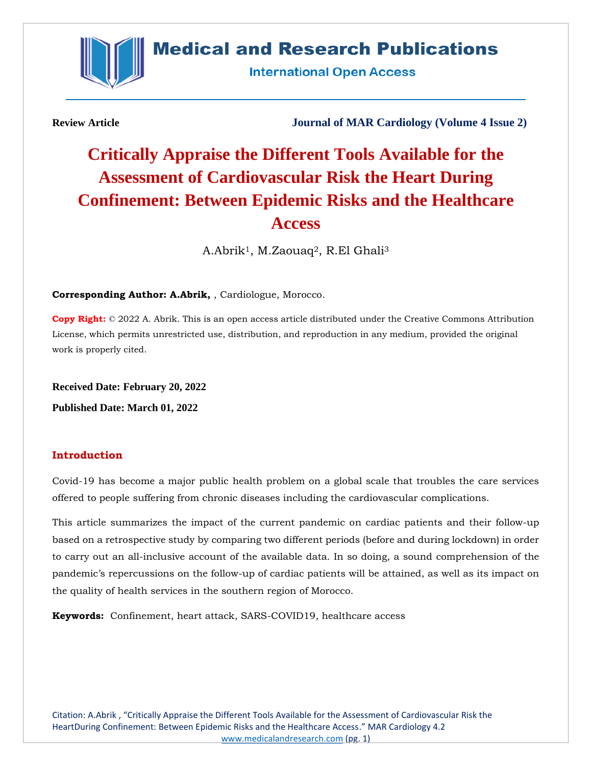

# **Medical and Research Publications**

**International Open Access** 

**Review Article Journal of MAR Cardiology (Volume 4 Issue 2)**

# **Critically Appraise the Different Tools Available for the Assessment of Cardiovascular Risk the Heart During Confinement: Between Epidemic Risks and the Healthcare Access**

A.Abrik1, M.Zaouaq2, R.El Ghali<sup>3</sup>

**Corresponding Author: A.Abrik,** , Cardiologue, Morocco.

**Copy Right:** © 2022 A. Abrik. This is an open access article distributed under the Creative Commons Attribution License, which permits unrestricted use, distribution, and reproduction in any medium, provided the original work is properly cited.

**Received Date: February 20, 2022**

**Published Date: March 01, 2022**

# **Introduction**

Covid-19 has become a major public health problem on a global scale that troubles the care services offered to people suffering from chronic diseases including the cardiovascular complications.

This article summarizes the impact of the current pandemic on cardiac patients and their follow-up based on a retrospective study by comparing two different periods (before and during lockdown) in order to carry out an all-inclusive account of the available data. In so doing, a sound comprehension of the pandemic's repercussions on the follow-up of cardiac patients will be attained, as well as its impact on the quality of health services in the southern region of Morocco.

**Keywords:** Confinement, heart attack, SARS-COVID19, healthcare access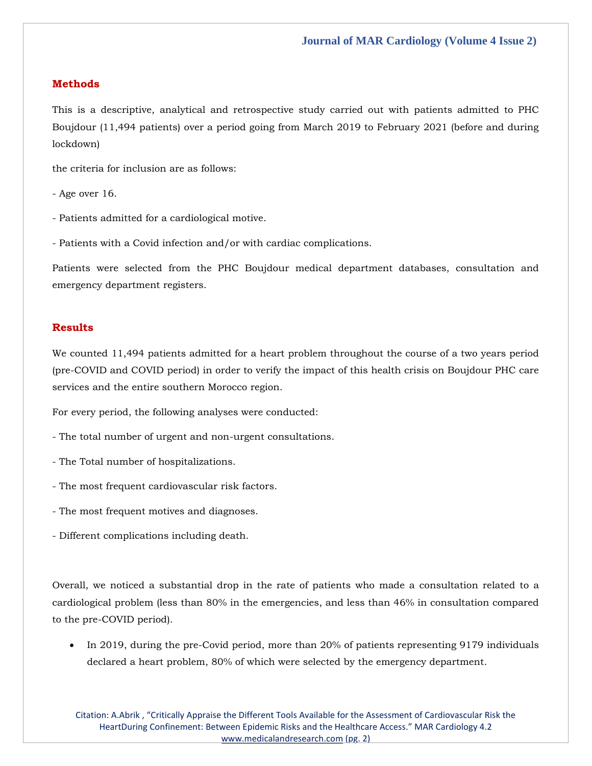#### **Methods**

This is a descriptive, analytical and retrospective study carried out with patients admitted to PHC Boujdour (11,494 patients) over a period going from March 2019 to February 2021 (before and during lockdown)

the criteria for inclusion are as follows:

- Age over 16.
- Patients admitted for a cardiological motive.
- Patients with a Covid infection and/or with cardiac complications.

Patients were selected from the PHC Boujdour medical department databases, consultation and emergency department registers.

### **Results**

We counted 11,494 patients admitted for a heart problem throughout the course of a two years period (pre-COVID and COVID period) in order to verify the impact of this health crisis on Boujdour PHC care services and the entire southern Morocco region.

For every period, the following analyses were conducted:

- The total number of urgent and non-urgent consultations.
- The Total number of hospitalizations.
- The most frequent cardiovascular risk factors.
- The most frequent motives and diagnoses.
- Different complications including death.

Overall, we noticed a substantial drop in the rate of patients who made a consultation related to a cardiological problem (less than 80% in the emergencies, and less than 46% in consultation compared to the pre-COVID period).

• In 2019, during the pre-Covid period, more than 20% of patients representing 9179 individuals declared a heart problem, 80% of which were selected by the emergency department.

Citation: A.Abrik , "Critically Appraise the Different Tools Available for the Assessment of Cardiovascular Risk the HeartDuring Confinement: Between Epidemic Risks and the Healthcare Access." MAR Cardiology 4.2 [www.medicalandresearch.com](http://www.medicalandresearch.com/) (pg. 2)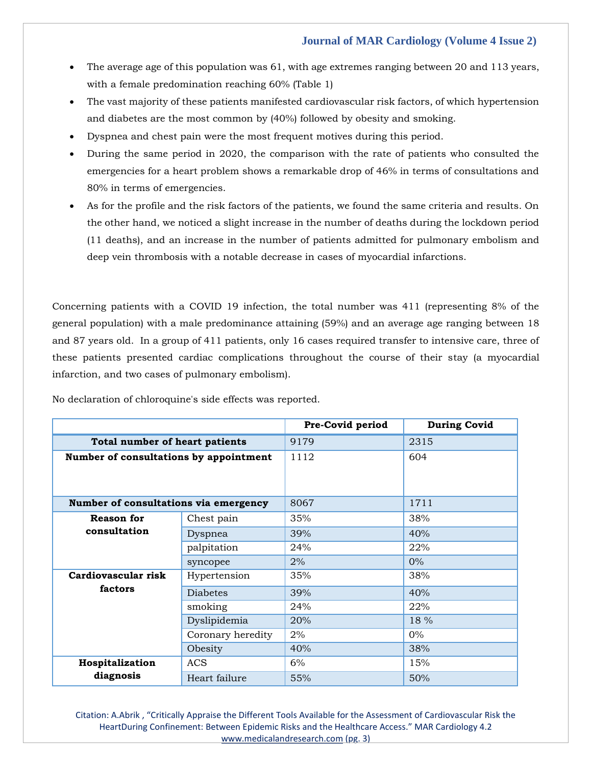- The average age of this population was 61, with age extremes ranging between 20 and 113 years, with a female predomination reaching 60% (Table 1)
- The vast majority of these patients manifested cardiovascular risk factors, of which hypertension and diabetes are the most common by (40%) followed by obesity and smoking.
- Dyspnea and chest pain were the most frequent motives during this period.
- During the same period in 2020, the comparison with the rate of patients who consulted the emergencies for a heart problem shows a remarkable drop of 46% in terms of consultations and 80% in terms of emergencies.
- As for the profile and the risk factors of the patients, we found the same criteria and results. On the other hand, we noticed a slight increase in the number of deaths during the lockdown period (11 deaths), and an increase in the number of patients admitted for pulmonary embolism and deep vein thrombosis with a notable decrease in cases of myocardial infarctions.

Concerning patients with a COVID 19 infection, the total number was 411 (representing 8% of the general population) with a male predominance attaining (59%) and an average age ranging between 18 and 87 years old. In a group of 411 patients, only 16 cases required transfer to intensive care, three of these patients presented cardiac complications throughout the course of their stay (a myocardial infarction, and two cases of pulmonary embolism).

|                                        |                   | Pre-Covid period | <b>During Covid</b> |
|----------------------------------------|-------------------|------------------|---------------------|
| Total number of heart patients         |                   | 9179             | 2315                |
| Number of consultations by appointment |                   | 1112             | 604                 |
| Number of consultations via emergency  |                   | 8067             | 1711                |
| <b>Reason for</b><br>consultation      | Chest pain        | 35%              | 38%                 |
|                                        | Dyspnea           | 39%              | 40%                 |
|                                        | palpitation       | 24%              | 22%                 |
|                                        | syncopee          | 2%               | $0\%$               |
| Cardiovascular risk<br>factors         | Hypertension      | 35%              | 38%                 |
|                                        | <b>Diabetes</b>   | 39%              | 40%                 |
|                                        | smoking           | 24%              | 22%                 |
|                                        | Dyslipidemia      | 20%              | 18 %                |
|                                        | Coronary heredity | 2%               | $0\%$               |
|                                        | Obesity           | 40%              | 38%                 |
| Hospitalization                        | <b>ACS</b>        | 6%               | 15%                 |
| diagnosis                              | Heart failure     | 55%              | 50%                 |

No declaration of chloroquine's side effects was reported.

Citation: A.Abrik , "Critically Appraise the Different Tools Available for the Assessment of Cardiovascular Risk the HeartDuring Confinement: Between Epidemic Risks and the Healthcare Access." MAR Cardiology 4.2 [www.medicalandresearch.com](http://www.medicalandresearch.com/) (pg. 3)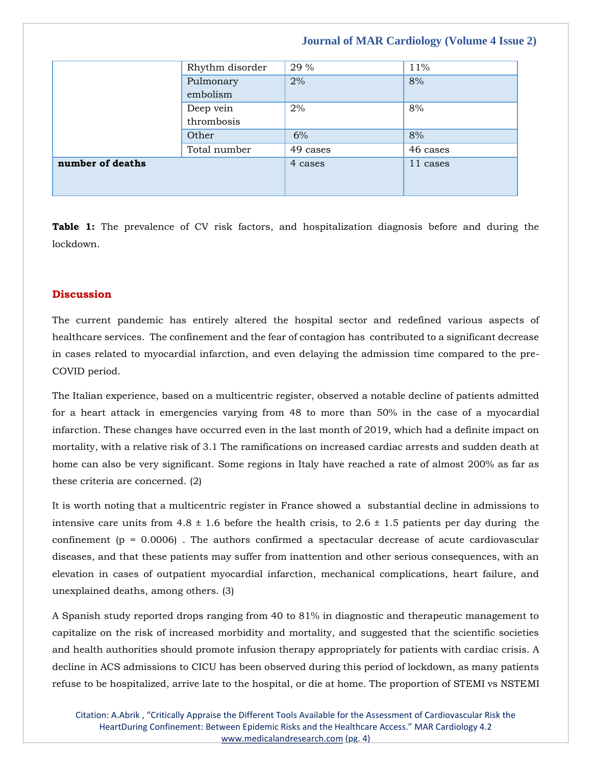|                  | Rhythm disorder         | 29 %     | 11%      |
|------------------|-------------------------|----------|----------|
|                  | Pulmonary<br>embolism   | 2%       | 8%       |
|                  | Deep vein<br>thrombosis | 2%       | 8%       |
|                  | Other                   | 6%       | 8%       |
|                  | Total number            | 49 cases | 46 cases |
| number of deaths |                         | 4 cases  | 11 cases |

**Table 1:** The prevalence of CV risk factors, and hospitalization diagnosis before and during the lockdown.

#### **Discussion**

The current pandemic has entirely altered the hospital sector and redefined various aspects of healthcare services. The confinement and the fear of contagion has contributed to a significant decrease in cases related to myocardial infarction, and even delaying the admission time compared to the pre-COVID period.

The Italian experience, based on a multicentric register, observed a notable decline of patients admitted for a heart attack in emergencies varying from 48 to more than 50% in the case of a myocardial infarction. These changes have occurred even in the last month of 2019, which had a definite impact on mortality, with a relative risk of 3.1 The ramifications on increased cardiac arrests and sudden death at home can also be very significant. Some regions in Italy have reached a rate of almost 200% as far as these criteria are concerned. (2)

It is worth noting that a multicentric register in France showed a substantial decline in admissions to intensive care units from  $4.8 \pm 1.6$  before the health crisis, to  $2.6 \pm 1.5$  patients per day during the confinement ( $p = 0.0006$ ). The authors confirmed a spectacular decrease of acute cardiovascular diseases, and that these patients may suffer from inattention and other serious consequences, with an elevation in cases of outpatient myocardial infarction, mechanical complications, heart failure, and unexplained deaths, among others. (3)

A Spanish study reported drops ranging from 40 to 81% in diagnostic and therapeutic management to capitalize on the risk of increased morbidity and mortality, and suggested that the scientific societies and health authorities should promote infusion therapy appropriately for patients with cardiac crisis. A decline in ACS admissions to CICU has been observed during this period of lockdown, as many patients refuse to be hospitalized, arrive late to the hospital, or die at home. The proportion of STEMI vs NSTEMI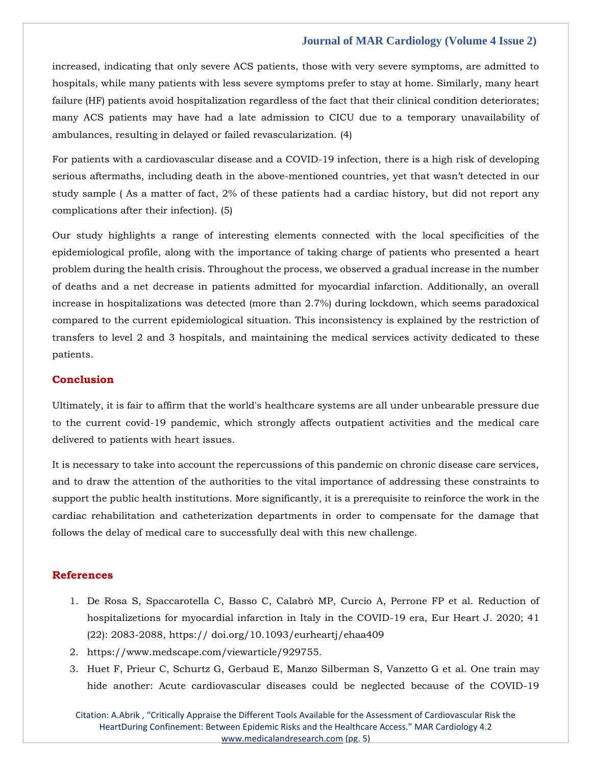increased, indicating that only severe ACS patients, those with very severe symptoms, are admitted to hospitals, while many patients with less severe symptoms prefer to stay at home. Similarly, many heart failure (HF) patients avoid hospitalization regardless of the fact that their clinical condition deteriorates; many ACS patients may have had a late admission to CICU due to a temporary unavailability of ambulances, resulting in delayed or failed revascularization. (4)

For patients with a cardiovascular disease and a COVID-19 infection, there is a high risk of developing serious aftermaths, including death in the above-mentioned countries, yet that wasn't detected in our study sample ( As a matter of fact, 2% of these patients had a cardiac history, but did not report any complications after their infection). (5)

Our study highlights a range of interesting elements connected with the local specificities of the epidemiological profile, along with the importance of taking charge of patients who presented a heart problem during the health crisis. Throughout the process, we observed a gradual increase in the number of deaths and a net decrease in patients admitted for myocardial infarction. Additionally, an overall increase in hospitalizations was detected (more than 2.7%) during lockdown, which seems paradoxical compared to the current epidemiological situation. This inconsistency is explained by the restriction of transfers to level 2 and 3 hospitals, and maintaining the medical services activity dedicated to these patients.

#### **Conclusion**

Ultimately, it is fair to affirm that the world's healthcare systems are all under unbearable pressure due to the current covid-19 pandemic, which strongly affects outpatient activities and the medical care delivered to patients with heart issues.

It is necessary to take into account the repercussions of this pandemic on chronic disease care services, and to draw the attention of the authorities to the vital importance of addressing these constraints to support the public health institutions. More significantly, it is a prerequisite to reinforce the work in the cardiac rehabilitation and catheterization departments in order to compensate for the damage that follows the delay of medical care to successfully deal with this new challenge.

#### **References**

- 1. De Rosa S, Spaccarotella C, Basso C, Calabrò MP, Curcio A, Perrone FP et al. Reduction of hospitalizetions for myocardial infarction in Italy in the COVID-19 era, Eur Heart J. 2020; 41 (22): 2083-2088, https:// doi.org/10.1093/eurheartj/ehaa409
- 2. https://www.medscape.com/viewarticle/929755.
- 3. Huet F, Prieur C, Schurtz G, Gerbaud E, Manzo Silberman S, Vanzetto G et al. One train may hide another: Acute cardiovascular diseases could be neglected because of the COVID-19

Citation: A.Abrik , "Critically Appraise the Different Tools Available for the Assessment of Cardiovascular Risk the HeartDuring Confinement: Between Epidemic Risks and the Healthcare Access." MAR Cardiology 4.2 [www.medicalandresearch.com](http://www.medicalandresearch.com/) (pg. 5)